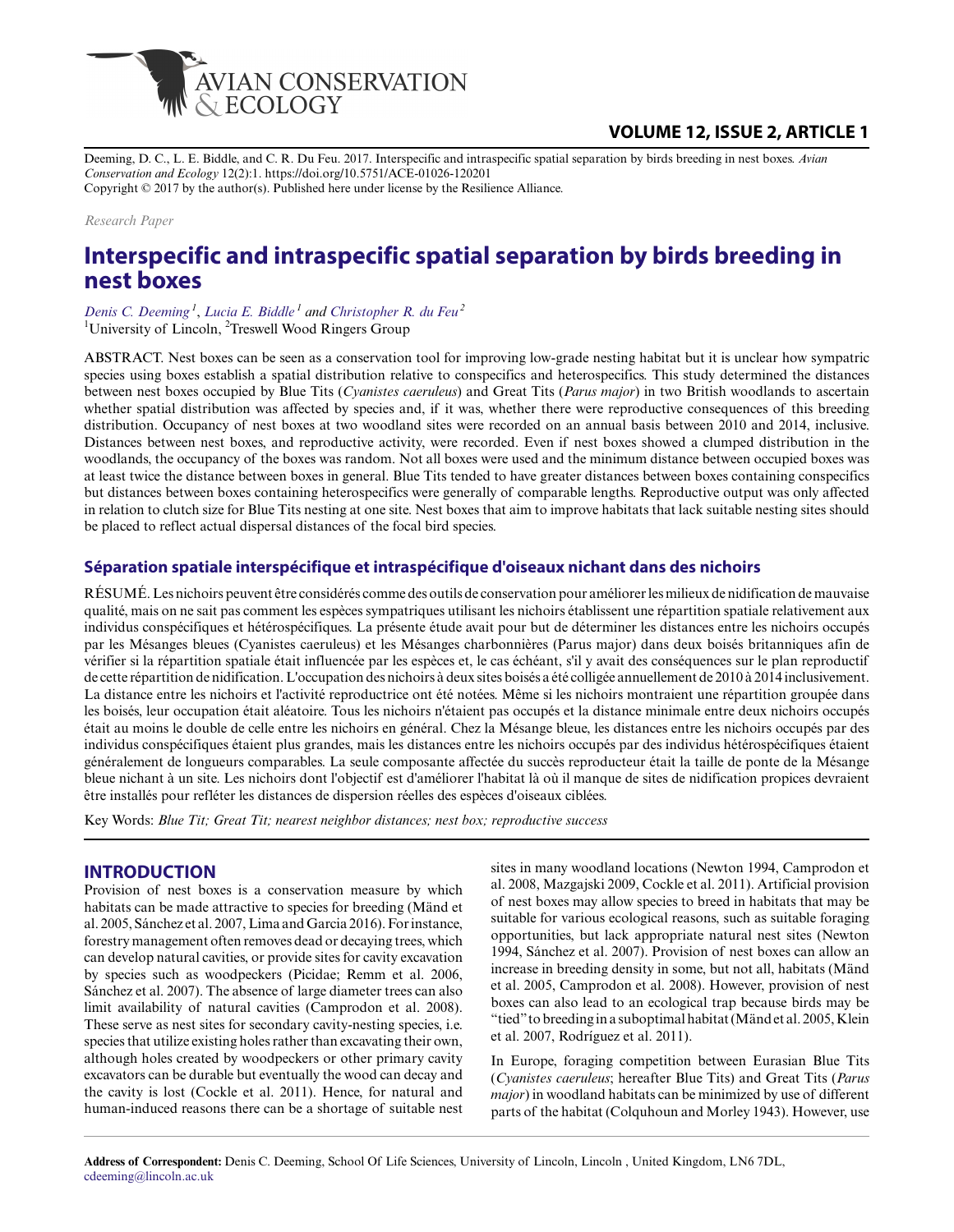

# **VOLUME 12, ISSUE 2, ARTICLE 1**

Deeming, D. C., L. E. Biddle, and C. R. Du Feu. 2017. Interspecific and intraspecific spatial separation by birds breeding in nest boxes. *Avian Conservation and Ecology* 12(2):1. https://doi.org/10.5751/ACE-01026-120201 Copyright © 2017 by the author(s). Published here under license by the Resilience Alliance.

*Research Paper*

# **Interspecific and intraspecific spatial separation by birds breeding in nest boxes**

*[Denis C. Deeming](mailto:cdeeming@lincoln.ac.uk)<sup>1</sup>* , *[Lucia E. Biddle](mailto:lbiddle@lincoln.ac.uk)<sup>1</sup> and [Christopher R. du Feu](mailto:chris@chrisdufeu.force9.co.uk)<sup>2</sup>* <sup>1</sup>University of Lincoln, <sup>2</sup>Treswell Wood Ringers Group

ABSTRACT. Nest boxes can be seen as a conservation tool for improving low-grade nesting habitat but it is unclear how sympatric species using boxes establish a spatial distribution relative to conspecifics and heterospecifics. This study determined the distances between nest boxes occupied by Blue Tits (*Cyanistes caeruleus*) and Great Tits (*Parus major*) in two British woodlands to ascertain whether spatial distribution was affected by species and, if it was, whether there were reproductive consequences of this breeding distribution. Occupancy of nest boxes at two woodland sites were recorded on an annual basis between 2010 and 2014, inclusive. Distances between nest boxes, and reproductive activity, were recorded. Even if nest boxes showed a clumped distribution in the woodlands, the occupancy of the boxes was random. Not all boxes were used and the minimum distance between occupied boxes was at least twice the distance between boxes in general. Blue Tits tended to have greater distances between boxes containing conspecifics but distances between boxes containing heterospecifics were generally of comparable lengths. Reproductive output was only affected in relation to clutch size for Blue Tits nesting at one site. Nest boxes that aim to improve habitats that lack suitable nesting sites should be placed to reflect actual dispersal distances of the focal bird species.

#### **Séparation spatiale interspécifique et intraspécifique d'oiseaux nichant dans des nichoirs**

RÉSUMÉ. Les nichoirs peuvent être considérés comme des outils de conservation pour améliorer les milieux de nidification de mauvaise qualité, mais on ne sait pas comment les espèces sympatriques utilisant les nichoirs établissent une répartition spatiale relativement aux individus conspécifiques et hétérospécifiques. La présente étude avait pour but de déterminer les distances entre les nichoirs occupés par les Mésanges bleues (Cyanistes caeruleus) et les Mésanges charbonnières (Parus major) dans deux boisés britanniques afin de vérifier si la répartition spatiale était influencée par les espèces et, le cas échéant, s'il y avait des conséquences sur le plan reproductif de cette répartition de nidification. L'occupation des nichoirs à deux sites boisés a été colligée annuellement de 2010 à 2014 inclusivement. La distance entre les nichoirs et l'activité reproductrice ont été notées. Même si les nichoirs montraient une répartition groupée dans les boisés, leur occupation était aléatoire. Tous les nichoirs n'étaient pas occupés et la distance minimale entre deux nichoirs occupés était au moins le double de celle entre les nichoirs en général. Chez la Mésange bleue, les distances entre les nichoirs occupés par des individus conspécifiques étaient plus grandes, mais les distances entre les nichoirs occupés par des individus hétérospécifiques étaient généralement de longueurs comparables. La seule composante affectée du succès reproducteur était la taille de ponte de la Mésange bleue nichant à un site. Les nichoirs dont l'objectif est d'améliorer l'habitat là où il manque de sites de nidification propices devraient être installés pour refléter les distances de dispersion réelles des espèces d'oiseaux ciblées.

Key Words: *Blue Tit; Great Tit; nearest neighbor distances; nest box; reproductive success*

## **INTRODUCTION**

Provision of nest boxes is a conservation measure by which habitats can be made attractive to species for breeding (Mänd et al. 2005, Sánchez et al. 2007, Lima and Garcia 2016). For instance, forestry management often removes dead or decaying trees, which can develop natural cavities, or provide sites for cavity excavation by species such as woodpeckers (Picidae; Remm et al. 2006, Sánchez et al. 2007). The absence of large diameter trees can also limit availability of natural cavities (Camprodon et al. 2008). These serve as nest sites for secondary cavity-nesting species, i.e. species that utilize existing holes rather than excavating their own, although holes created by woodpeckers or other primary cavity excavators can be durable but eventually the wood can decay and the cavity is lost (Cockle et al. 2011). Hence, for natural and human-induced reasons there can be a shortage of suitable nest

sites in many woodland locations (Newton 1994, Camprodon et al. 2008, Mazgajski 2009, Cockle et al. 2011). Artificial provision of nest boxes may allow species to breed in habitats that may be suitable for various ecological reasons, such as suitable foraging opportunities, but lack appropriate natural nest sites (Newton 1994, Sánchez et al. 2007). Provision of nest boxes can allow an increase in breeding density in some, but not all, habitats (Mänd et al. 2005, Camprodon et al. 2008). However, provision of nest boxes can also lead to an ecological trap because birds may be "tied" to breeding in a suboptimal habitat (Mänd et al. 2005, Klein et al. 2007, Rodríguez et al. 2011).

In Europe, foraging competition between Eurasian Blue Tits (*Cyanistes caeruleus*; hereafter Blue Tits) and Great Tits (*Parus major*) in woodland habitats can be minimized by use of different parts of the habitat (Colquhoun and Morley 1943). However, use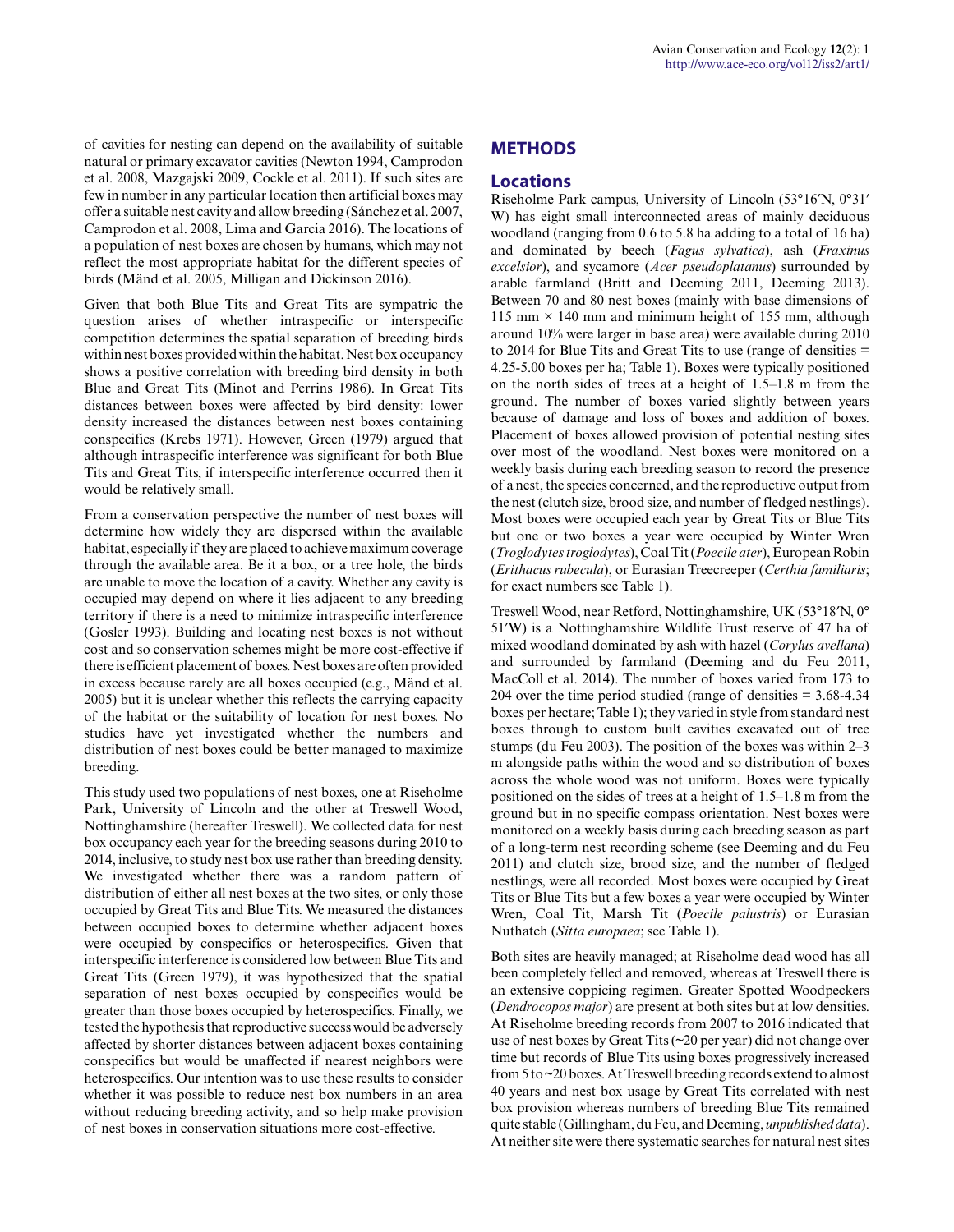of cavities for nesting can depend on the availability of suitable natural or primary excavator cavities (Newton 1994, Camprodon et al. 2008, Mazgajski 2009, Cockle et al. 2011). If such sites are few in number in any particular location then artificial boxes may offer a suitable nest cavity and allow breeding (Sánchez et al. 2007, Camprodon et al. 2008, Lima and Garcia 2016). The locations of a population of nest boxes are chosen by humans, which may not reflect the most appropriate habitat for the different species of birds (Mänd et al. 2005, Milligan and Dickinson 2016).

Given that both Blue Tits and Great Tits are sympatric the question arises of whether intraspecific or interspecific competition determines the spatial separation of breeding birds within nest boxes provided within the habitat. Nest box occupancy shows a positive correlation with breeding bird density in both Blue and Great Tits (Minot and Perrins 1986). In Great Tits distances between boxes were affected by bird density: lower density increased the distances between nest boxes containing conspecifics (Krebs 1971). However, Green (1979) argued that although intraspecific interference was significant for both Blue Tits and Great Tits, if interspecific interference occurred then it would be relatively small.

From a conservation perspective the number of nest boxes will determine how widely they are dispersed within the available habitat, especially if they are placed to achieve maximum coverage through the available area. Be it a box, or a tree hole, the birds are unable to move the location of a cavity. Whether any cavity is occupied may depend on where it lies adjacent to any breeding territory if there is a need to minimize intraspecific interference (Gosler 1993). Building and locating nest boxes is not without cost and so conservation schemes might be more cost-effective if there is efficient placement of boxes. Nest boxes are often provided in excess because rarely are all boxes occupied (e.g., Mänd et al. 2005) but it is unclear whether this reflects the carrying capacity of the habitat or the suitability of location for nest boxes. No studies have yet investigated whether the numbers and distribution of nest boxes could be better managed to maximize breeding.

This study used two populations of nest boxes, one at Riseholme Park, University of Lincoln and the other at Treswell Wood, Nottinghamshire (hereafter Treswell). We collected data for nest box occupancy each year for the breeding seasons during 2010 to 2014, inclusive, to study nest box use rather than breeding density. We investigated whether there was a random pattern of distribution of either all nest boxes at the two sites, or only those occupied by Great Tits and Blue Tits. We measured the distances between occupied boxes to determine whether adjacent boxes were occupied by conspecifics or heterospecifics. Given that interspecific interference is considered low between Blue Tits and Great Tits (Green 1979), it was hypothesized that the spatial separation of nest boxes occupied by conspecifics would be greater than those boxes occupied by heterospecifics. Finally, we tested the hypothesis that reproductive success would be adversely affected by shorter distances between adjacent boxes containing conspecifics but would be unaffected if nearest neighbors were heterospecifics. Our intention was to use these results to consider whether it was possible to reduce nest box numbers in an area without reducing breeding activity, and so help make provision of nest boxes in conservation situations more cost-effective.

# **METHODS**

#### **Locations**

Riseholme Park campus, University of Lincoln (53°16′N, 0°31′ W) has eight small interconnected areas of mainly deciduous woodland (ranging from 0.6 to 5.8 ha adding to a total of 16 ha) and dominated by beech (*Fagus sylvatica*), ash (*Fraxinus excelsior*), and sycamore (*Acer pseudoplatanus*) surrounded by arable farmland (Britt and Deeming 2011, Deeming 2013). Between 70 and 80 nest boxes (mainly with base dimensions of 115 mm  $\times$  140 mm and minimum height of 155 mm, although around 10% were larger in base area) were available during 2010 to 2014 for Blue Tits and Great Tits to use (range of densities = 4.25-5.00 boxes per ha; Table 1). Boxes were typically positioned on the north sides of trees at a height of 1.5–1.8 m from the ground. The number of boxes varied slightly between years because of damage and loss of boxes and addition of boxes. Placement of boxes allowed provision of potential nesting sites over most of the woodland. Nest boxes were monitored on a weekly basis during each breeding season to record the presence of a nest, the species concerned, and the reproductive output from the nest (clutch size, brood size, and number of fledged nestlings). Most boxes were occupied each year by Great Tits or Blue Tits but one or two boxes a year were occupied by Winter Wren (*Troglodytes troglodytes*), Coal Tit (*Poecile ater*), European Robin (*Erithacus rubecula*), or Eurasian Treecreeper (*Certhia familiaris*; for exact numbers see Table 1).

Treswell Wood, near Retford, Nottinghamshire, UK (53°18′N, 0° 51′W) is a Nottinghamshire Wildlife Trust reserve of 47 ha of mixed woodland dominated by ash with hazel (*Corylus avellana*) and surrounded by farmland (Deeming and du Feu 2011, MacColl et al. 2014). The number of boxes varied from 173 to 204 over the time period studied (range of densities = 3.68-4.34 boxes per hectare; Table 1); they varied in style from standard nest boxes through to custom built cavities excavated out of tree stumps (du Feu 2003). The position of the boxes was within 2–3 m alongside paths within the wood and so distribution of boxes across the whole wood was not uniform. Boxes were typically positioned on the sides of trees at a height of 1.5–1.8 m from the ground but in no specific compass orientation. Nest boxes were monitored on a weekly basis during each breeding season as part of a long-term nest recording scheme (see Deeming and du Feu 2011) and clutch size, brood size, and the number of fledged nestlings, were all recorded. Most boxes were occupied by Great Tits or Blue Tits but a few boxes a year were occupied by Winter Wren, Coal Tit, Marsh Tit (*Poecile palustris*) or Eurasian Nuthatch (*Sitta europaea*; see Table 1).

Both sites are heavily managed; at Riseholme dead wood has all been completely felled and removed, whereas at Treswell there is an extensive coppicing regimen. Greater Spotted Woodpeckers (*Dendrocopos major*) are present at both sites but at low densities. At Riseholme breeding records from 2007 to 2016 indicated that use of nest boxes by Great Tits (~20 per year) did not change over time but records of Blue Tits using boxes progressively increased from 5 to ~20 boxes. At Treswell breeding records extend to almost 40 years and nest box usage by Great Tits correlated with nest box provision whereas numbers of breeding Blue Tits remained quite stable (Gillingham, du Feu, and Deeming, *unpublished data*). At neither site were there systematic searches for natural nest sites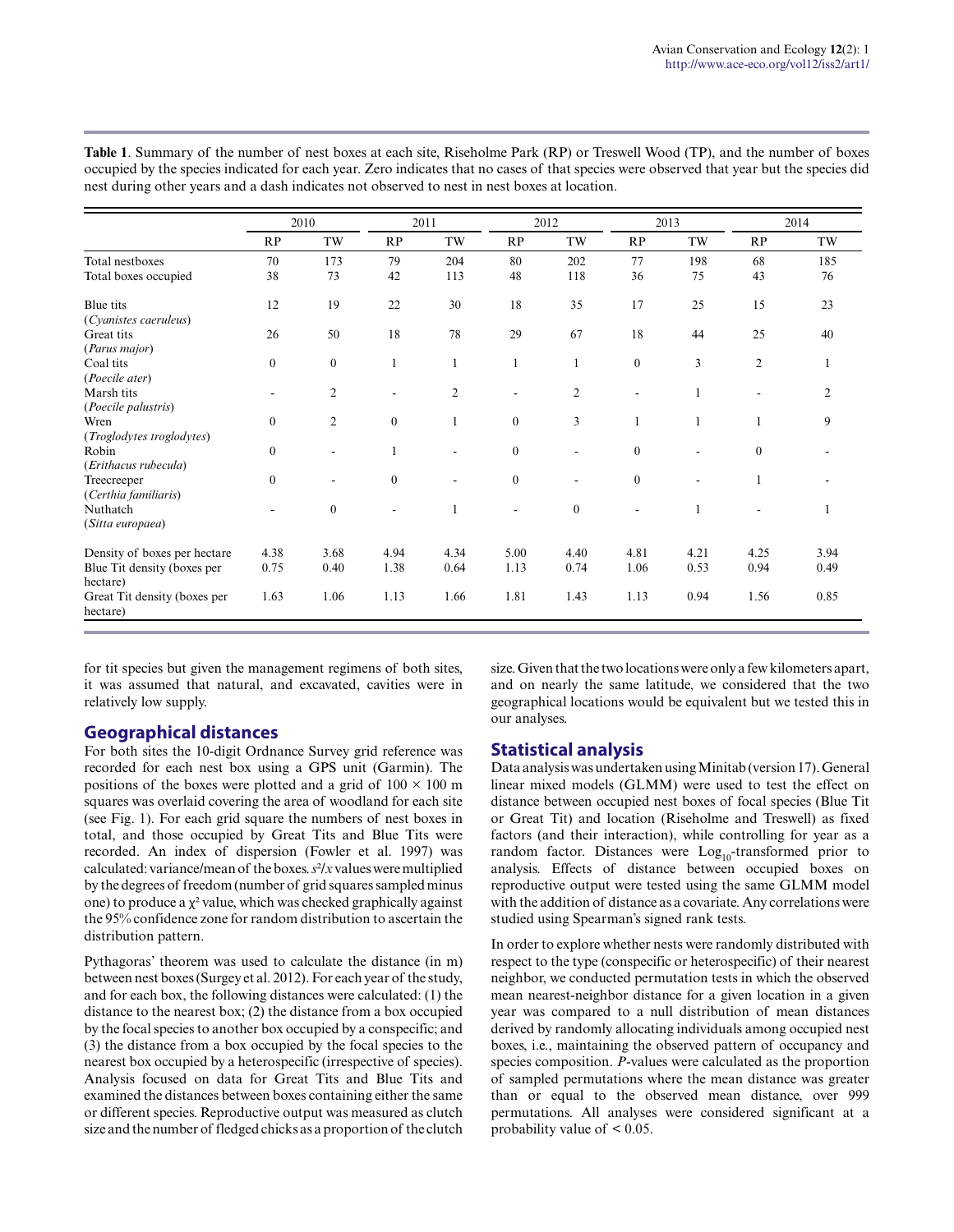|                                          | 2010         |                | 2011         |                | 2012           |                | 2013           |              | 2014           |                |
|------------------------------------------|--------------|----------------|--------------|----------------|----------------|----------------|----------------|--------------|----------------|----------------|
|                                          | RP           | TW             | RP           | TW             | RP             | TW             | RP             | <b>TW</b>    | RP             | <b>TW</b>      |
| Total nestboxes                          | 70           | 173            | 79           | 204            | 80             | 202            | 77             | 198          | 68             | 185            |
| Total boxes occupied                     | 38           | 73             | 42           | 113            | 48             | 118            | 36             | 75           | 43             | 76             |
| Blue tits                                | 12           | 19             | 22           | 30             | 18             | 35             | 17             | 25           | 15             | 23             |
| (Cyanistes caeruleus)                    |              |                |              |                |                |                |                |              |                |                |
| Great tits                               | 26           | 50             | 18           | 78             | 29             | 67             | 18             | 44           | 25             | 40             |
| (Parus major)                            |              |                |              |                |                |                |                |              |                |                |
| Coal tits                                | $\mathbf{0}$ | $\mathbf{0}$   | $\mathbf{1}$ | $\mathbf{1}$   | $\mathbf{1}$   | $\mathbf{1}$   | $\mathbf{0}$   | 3            | $\overline{2}$ | 1              |
| (Poecile ater)                           |              |                |              |                |                |                |                |              |                |                |
| Marsh tits                               |              | 2              |              | $\overline{c}$ | $\blacksquare$ | $\overline{c}$ |                | 1            |                | $\overline{c}$ |
| (Poecile palustris)                      |              |                |              |                |                |                |                |              |                |                |
| Wren                                     | $\mathbf{0}$ | $\overline{2}$ | $\theta$     | $\mathbf{1}$   | $\mathbf{0}$   | $\overline{3}$ |                | $\mathbf{1}$ |                | 9              |
| (Troglodytes troglodytes)                |              |                |              |                |                |                |                |              |                |                |
| Robin                                    | $\mathbf{0}$ |                | 1            |                | $\mathbf{0}$   |                | $\overline{0}$ |              | $\mathbf{0}$   |                |
| (Erithacus rubecula)                     |              |                |              |                |                |                |                |              |                |                |
| Treecreeper                              | $\mathbf{0}$ |                | $\theta$     |                | $\mathbf{0}$   | $\overline{a}$ | $\theta$       |              |                |                |
| (Certhia familiaris)                     |              |                |              |                |                |                |                |              |                |                |
| Nuthatch                                 |              | $\mathbf{0}$   |              | $\mathbf{1}$   | $\blacksquare$ | $\mathbf{0}$   | $\overline{a}$ | 1            |                |                |
| (Sitta europaea)                         |              |                |              |                |                |                |                |              |                |                |
| Density of boxes per hectare             | 4.38         | 3.68           | 4.94         | 4.34           | 5.00           | 4.40           | 4.81           | 4.21         | 4.25           | 3.94           |
| Blue Tit density (boxes per              | 0.75         | 0.40           | 1.38         | 0.64           | 1.13           | 0.74           | 1.06           | 0.53         | 0.94           | 0.49           |
| hectare)                                 |              |                |              |                |                |                |                |              |                |                |
| Great Tit density (boxes per<br>hectare) | 1.63         | 1.06           | 1.13         | 1.66           | 1.81           | 1.43           | 1.13           | 0.94         | 1.56           | 0.85           |

**Table 1**. Summary of the number of nest boxes at each site, Riseholme Park (RP) or Treswell Wood (TP), and the number of boxes occupied by the species indicated for each year. Zero indicates that no cases of that species were observed that year but the species did nest during other years and a dash indicates not observed to nest in nest boxes at location.

for tit species but given the management regimens of both sites, it was assumed that natural, and excavated, cavities were in relatively low supply.

## **Geographical distances**

For both sites the 10-digit Ordnance Survey grid reference was recorded for each nest box using a GPS unit (Garmin). The positions of the boxes were plotted and a grid of  $100 \times 100$  m squares was overlaid covering the area of woodland for each site (see Fig. 1). For each grid square the numbers of nest boxes in total, and those occupied by Great Tits and Blue Tits were recorded. An index of dispersion (Fowler et al. 1997) was calculated: variance/mean of the boxes. *s*²/*x* values were multiplied by the degrees of freedom (number of grid squares sampled minus one) to produce a  $\chi^2$  value, which was checked graphically against the 95% confidence zone for random distribution to ascertain the distribution pattern.

Pythagoras' theorem was used to calculate the distance (in m) between nest boxes (Surgey et al. 2012). For each year of the study, and for each box, the following distances were calculated: (1) the distance to the nearest box; (2) the distance from a box occupied by the focal species to another box occupied by a conspecific; and (3) the distance from a box occupied by the focal species to the nearest box occupied by a heterospecific (irrespective of species). Analysis focused on data for Great Tits and Blue Tits and examined the distances between boxes containing either the same or different species. Reproductive output was measured as clutch size and the number of fledged chicks as a proportion of the clutch size. Given that the two locations were only a few kilometers apart, and on nearly the same latitude, we considered that the two geographical locations would be equivalent but we tested this in our analyses.

# **Statistical analysis**

Data analysis was undertaken using Minitab (version 17). General linear mixed models (GLMM) were used to test the effect on distance between occupied nest boxes of focal species (Blue Tit or Great Tit) and location (Riseholme and Treswell) as fixed factors (and their interaction), while controlling for year as a random factor. Distances were Log<sub>10</sub>-transformed prior to analysis. Effects of distance between occupied boxes on reproductive output were tested using the same GLMM model with the addition of distance as a covariate. Any correlations were studied using Spearman's signed rank tests.

In order to explore whether nests were randomly distributed with respect to the type (conspecific or heterospecific) of their nearest neighbor, we conducted permutation tests in which the observed mean nearest-neighbor distance for a given location in a given year was compared to a null distribution of mean distances derived by randomly allocating individuals among occupied nest boxes, i.e., maintaining the observed pattern of occupancy and species composition. *P*-values were calculated as the proportion of sampled permutations where the mean distance was greater than or equal to the observed mean distance, over 999 permutations. All analyses were considered significant at a probability value of  $\leq 0.05$ .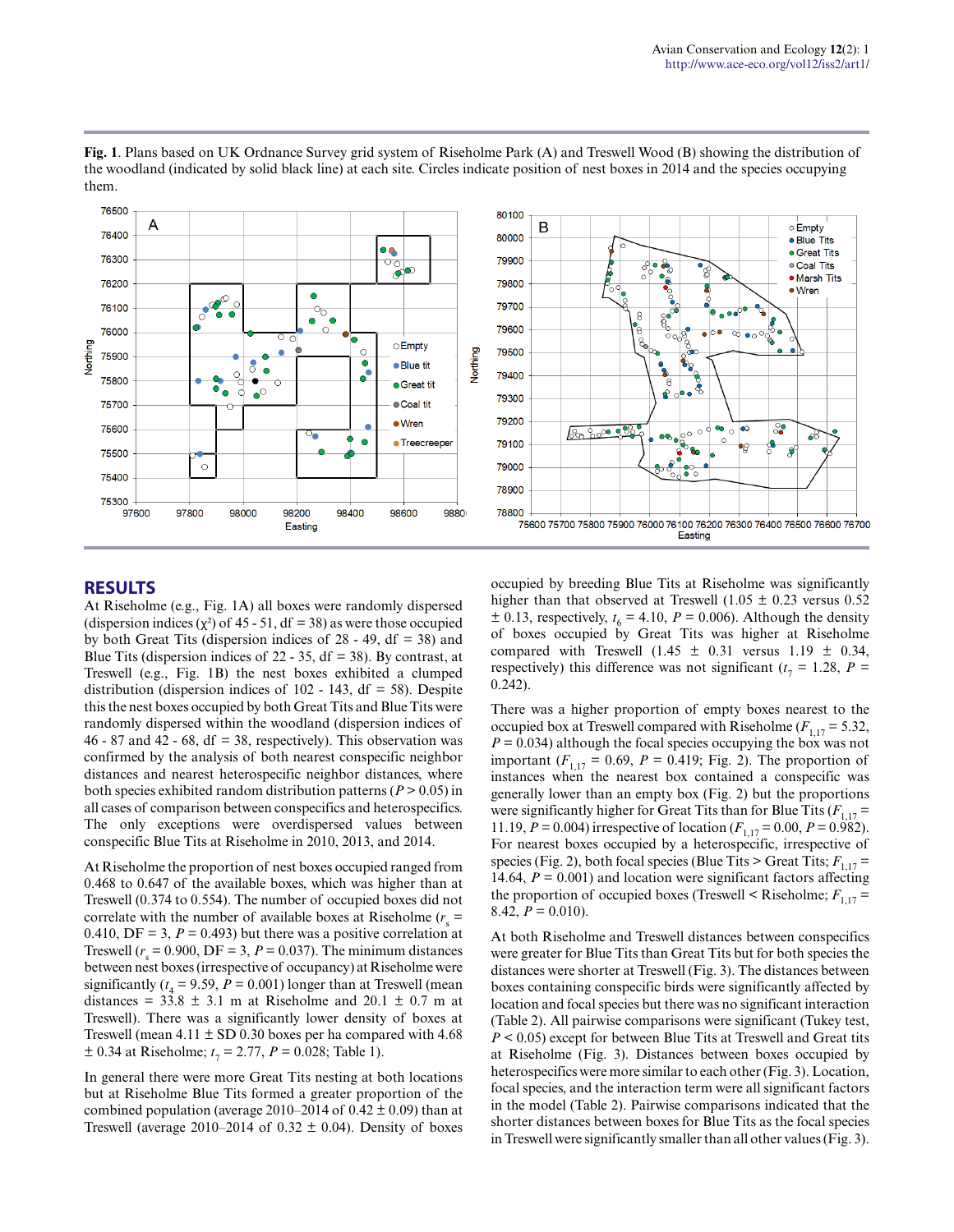

**Fig. 1**. Plans based on UK Ordnance Survey grid system of Riseholme Park (A) and Treswell Wood (B) showing the distribution of the woodland (indicated by solid black line) at each site. Circles indicate position of nest boxes in 2014 and the species occupying them.

#### **RESULTS**

At Riseholme (e.g., Fig. 1A) all boxes were randomly dispersed (dispersion indices  $(\chi^2)$  of 45 - 51, df = 38) as were those occupied by both Great Tits (dispersion indices of  $28 - 49$ , df = 38) and Blue Tits (dispersion indices of 22 - 35,  $df = 38$ ). By contrast, at Treswell (e.g., Fig. 1B) the nest boxes exhibited a clumped distribution (dispersion indices of  $102 - 143$ , df = 58). Despite this the nest boxes occupied by both Great Tits and Blue Tits were randomly dispersed within the woodland (dispersion indices of 46 - 87 and 42 - 68, df = 38, respectively). This observation was confirmed by the analysis of both nearest conspecific neighbor distances and nearest heterospecific neighbor distances, where both species exhibited random distribution patterns (*P* > 0.05) in all cases of comparison between conspecifics and heterospecifics. The only exceptions were overdispersed values between conspecific Blue Tits at Riseholme in 2010, 2013, and 2014.

At Riseholme the proportion of nest boxes occupied ranged from 0.468 to 0.647 of the available boxes, which was higher than at Treswell (0.374 to 0.554). The number of occupied boxes did not correlate with the number of available boxes at Riseholme  $(r<sub>s</sub> =$ 0.410,  $DF = 3$ ,  $P = 0.493$ ) but there was a positive correlation at Treswell ( $r_s$  = 0.900, DF = 3,  $P$  = 0.037). The minimum distances between nest boxes (irrespective of occupancy) at Riseholme were significantly  $(t_4 = 9.59, P = 0.001)$  longer than at Treswell (mean distances =  $33.8 \pm 3.1$  m at Riseholme and  $20.1 \pm 0.7$  m at Treswell). There was a significantly lower density of boxes at Treswell (mean  $4.11 \pm SD$  0.30 boxes per ha compared with 4.68  $\pm$  0.34 at Riseholme;  $t_7 = 2.77$ ,  $P = 0.028$ ; Table 1).

In general there were more Great Tits nesting at both locations but at Riseholme Blue Tits formed a greater proportion of the combined population (average 2010–2014 of  $0.42 \pm 0.09$ ) than at Treswell (average 2010–2014 of  $0.32 \pm 0.04$ ). Density of boxes occupied by breeding Blue Tits at Riseholme was significantly higher than that observed at Treswell (1.05  $\pm$  0.23 versus 0.52  $\pm$  0.13, respectively,  $t_6 = 4.10$ ,  $P = 0.006$ ). Although the density of boxes occupied by Great Tits was higher at Riseholme compared with Treswell  $(1.45 \pm 0.31)$  versus  $1.19 \pm 0.34$ , respectively) this difference was not significant ( $t_7 = 1.28$ ,  $P =$ 0.242).

There was a higher proportion of empty boxes nearest to the occupied box at Treswell compared with Riseholme ( $F_{1,17} = 5.32$ ,  $P = 0.034$ ) although the focal species occupying the box was not important  $(F_{1,17} = 0.69, P = 0.419;$  Fig. 2). The proportion of instances when the nearest box contained a conspecific was generally lower than an empty box (Fig. 2) but the proportions were significantly higher for Great Tits than for Blue Tits  $(F_{1,17} =$ 11.19,  $P = 0.004$ ) irrespective of location ( $F_{1,17} = 0.00$ ,  $P = 0.982$ ). For nearest boxes occupied by a heterospecific, irrespective of species (Fig. 2), both focal species (Blue Tits > Great Tits;  $F_{1,17}$  = 14.64, *P* = 0.001) and location were significant factors affecting the proportion of occupied boxes (Treswell  $\leq$  Riseholme;  $F_{1,17}$  = 8.42,  $P = 0.010$ .

At both Riseholme and Treswell distances between conspecifics were greater for Blue Tits than Great Tits but for both species the distances were shorter at Treswell (Fig. 3). The distances between boxes containing conspecific birds were significantly affected by location and focal species but there was no significant interaction (Table 2). All pairwise comparisons were significant (Tukey test, *P* < 0.05) except for between Blue Tits at Treswell and Great tits at Riseholme (Fig. 3). Distances between boxes occupied by heterospecifics were more similar to each other (Fig. 3). Location, focal species, and the interaction term were all significant factors in the model (Table 2). Pairwise comparisons indicated that the shorter distances between boxes for Blue Tits as the focal species in Treswell were significantly smaller than all other values (Fig. 3).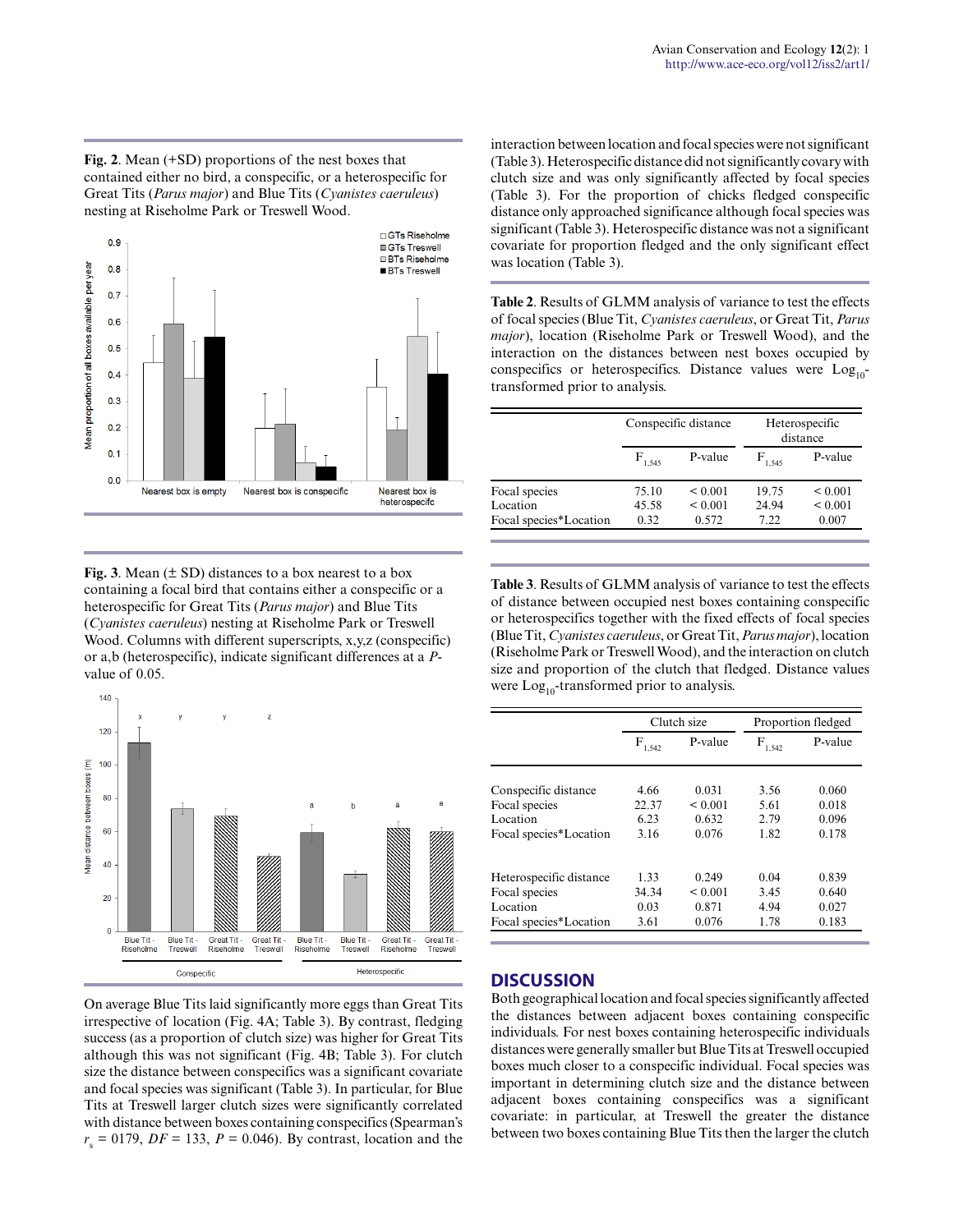**Fig. 2**. Mean (+SD) proportions of the nest boxes that contained either no bird, a conspecific, or a heterospecific for Great Tits (*Parus major*) and Blue Tits (*Cyanistes caeruleus*) nesting at Riseholme Park or Treswell Wood.



**Fig. 3**. Mean  $(\pm SD)$  distances to a box nearest to a box containing a focal bird that contains either a conspecific or a heterospecific for Great Tits (*Parus major*) and Blue Tits (*Cyanistes caeruleus*) nesting at Riseholme Park or Treswell Wood. Columns with different superscripts, x,y,z (conspecific) or a,b (heterospecific), indicate significant differences at a *P*value of 0.05.



On average Blue Tits laid significantly more eggs than Great Tits irrespective of location (Fig. 4A; Table 3). By contrast, fledging success (as a proportion of clutch size) was higher for Great Tits although this was not significant (Fig. 4B; Table 3). For clutch size the distance between conspecifics was a significant covariate and focal species was significant (Table 3). In particular, for Blue Tits at Treswell larger clutch sizes were significantly correlated with distance between boxes containing conspecifics (Spearman's  $r_s = 0179$ , *DF* = 133, *P* = 0.046). By contrast, location and the

interaction between location and focal species were not significant (Table 3). Heterospecific distance did not significantly covary with clutch size and was only significantly affected by focal species (Table 3). For the proportion of chicks fledged conspecific distance only approached significance although focal species was significant (Table 3). Heterospecific distance was not a significant covariate for proportion fledged and the only significant effect was location (Table 3).

**Table 2**. Results of GLMM analysis of variance to test the effects of focal species (Blue Tit, *Cyanistes caeruleus*, or Great Tit, *Parus major*), location (Riseholme Park or Treswell Wood), and the interaction on the distances between nest boxes occupied by conspecifics or heterospecifics. Distance values were  $Log_{10}$ transformed prior to analysis.

|                        |             | Conspecific distance | Heterospecific<br>distance |              |  |
|------------------------|-------------|----------------------|----------------------------|--------------|--|
|                        | $F_{1.545}$ | P-value              | $F_{1.545}$                | P-value      |  |
| Focal species          | 75.10       | ${}_{0.001}$         | 19.75                      | ${}_{0.001}$ |  |
| Location               | 45.58       | ${}_{0.001}$         | 24.94                      | ${}_{0.001}$ |  |
| Focal species*Location | 0.32        | 0.572                | 7.22                       | 0.007        |  |

**Table 3**. Results of GLMM analysis of variance to test the effects of distance between occupied nest boxes containing conspecific or heterospecifics together with the fixed effects of focal species (Blue Tit, *Cyanistes caeruleus*, or Great Tit, *Parus major*), location (Riseholme Park or Treswell Wood), and the interaction on clutch size and proportion of the clutch that fledged. Distance values were  $Log_{10}$ -transformed prior to analysis.

|                         |                      | Clutch size  | Proportion fledged |         |  |
|-------------------------|----------------------|--------------|--------------------|---------|--|
|                         | $\mathrm{F_{1,542}}$ | P-value      | F<br>1.542         | P-value |  |
| Conspecific distance    | 4.66                 | 0.031        | 3.56               | 0.060   |  |
| Focal species           | 22.37                | ${}_{0.001}$ | 5.61               | 0.018   |  |
| Location                | 6.23                 | 0.632        | 2.79               | 0.096   |  |
| Focal species*Location  | 3.16                 | 0.076        | 1.82               | 0.178   |  |
| Heterospecific distance | 1.33                 | 0.249        | 0.04               | 0.839   |  |
| Focal species           | 34.34                | ${}_{0.001}$ | 3.45               | 0.640   |  |
| Location                | 0.03                 | 0.871        | 4.94               | 0.027   |  |
| Focal species*Location  | 3.61                 | 0.076        | 1.78               | 0.183   |  |

## **DISCUSSION**

Both geographical location and focal species significantly affected the distances between adjacent boxes containing conspecific individuals. For nest boxes containing heterospecific individuals distances were generally smaller but Blue Tits at Treswell occupied boxes much closer to a conspecific individual. Focal species was important in determining clutch size and the distance between adjacent boxes containing conspecifics was a significant covariate: in particular, at Treswell the greater the distance between two boxes containing Blue Tits then the larger the clutch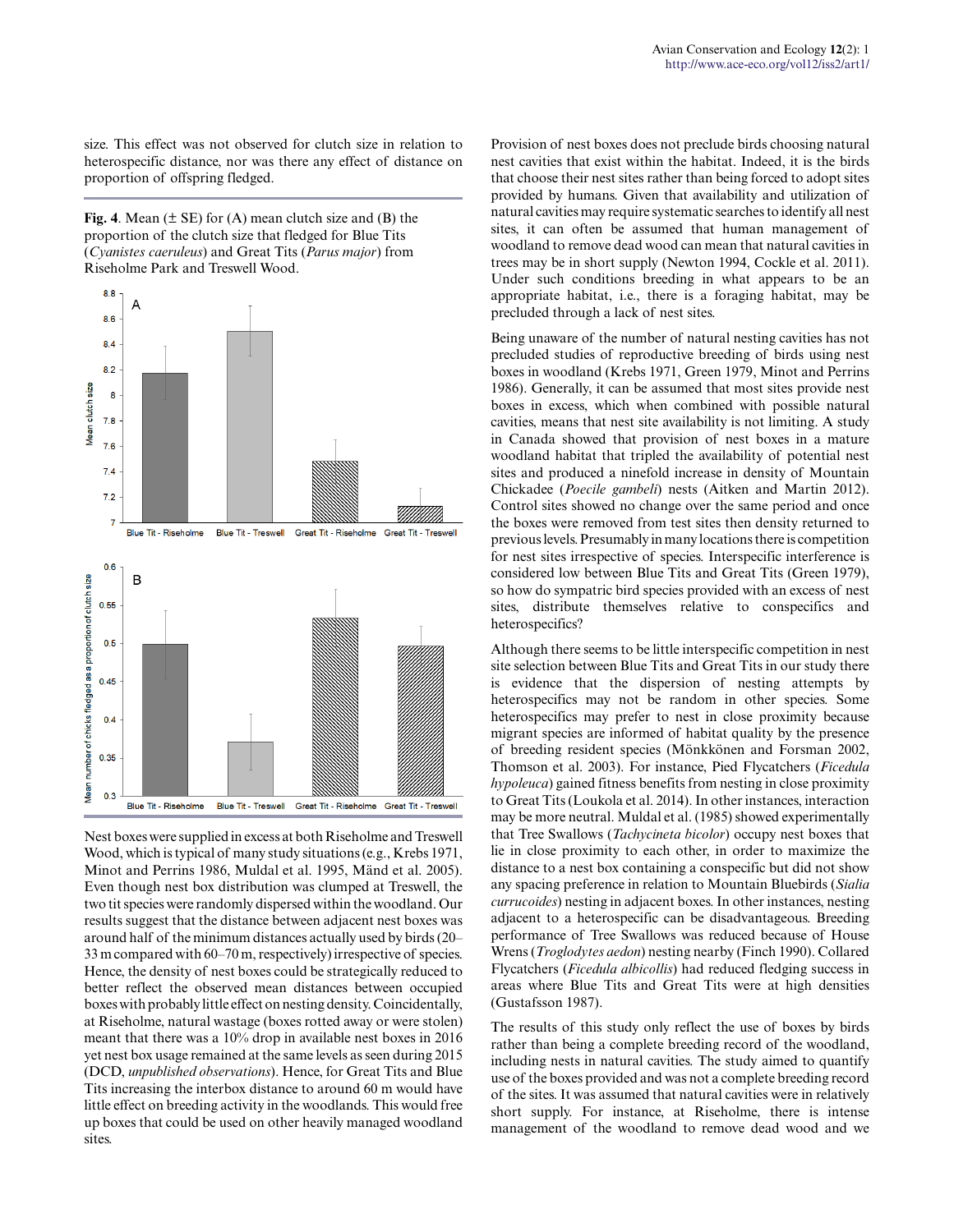size. This effect was not observed for clutch size in relation to heterospecific distance, nor was there any effect of distance on proportion of offspring fledged.

**Fig. 4**. Mean  $(\pm \text{SE})$  for  $(A)$  mean clutch size and  $(B)$  the proportion of the clutch size that fledged for Blue Tits (*Cyanistes caeruleus*) and Great Tits (*Parus major*) from Riseholme Park and Treswell Wood.



Nest boxes were supplied in excess at both Riseholme and Treswell Wood, which is typical of many study situations (e.g., Krebs 1971, Minot and Perrins 1986, Muldal et al. 1995, Mänd et al. 2005). Even though nest box distribution was clumped at Treswell, the two tit species were randomly dispersed within the woodland. Our results suggest that the distance between adjacent nest boxes was around half of the minimum distances actually used by birds (20– 33 m compared with 60–70 m, respectively) irrespective of species. Hence, the density of nest boxes could be strategically reduced to better reflect the observed mean distances between occupied boxes with probably little effect on nesting density. Coincidentally, at Riseholme, natural wastage (boxes rotted away or were stolen) meant that there was a 10% drop in available nest boxes in 2016 yet nest box usage remained at the same levels as seen during 2015 (DCD, *unpublished observations*). Hence, for Great Tits and Blue Tits increasing the interbox distance to around 60 m would have little effect on breeding activity in the woodlands. This would free up boxes that could be used on other heavily managed woodland sites.

Provision of nest boxes does not preclude birds choosing natural nest cavities that exist within the habitat. Indeed, it is the birds that choose their nest sites rather than being forced to adopt sites provided by humans. Given that availability and utilization of natural cavities may require systematic searches to identify all nest sites, it can often be assumed that human management of woodland to remove dead wood can mean that natural cavities in trees may be in short supply (Newton 1994, Cockle et al. 2011). Under such conditions breeding in what appears to be an appropriate habitat, i.e., there is a foraging habitat, may be precluded through a lack of nest sites.

Being unaware of the number of natural nesting cavities has not precluded studies of reproductive breeding of birds using nest boxes in woodland (Krebs 1971, Green 1979, Minot and Perrins 1986). Generally, it can be assumed that most sites provide nest boxes in excess, which when combined with possible natural cavities, means that nest site availability is not limiting. A study in Canada showed that provision of nest boxes in a mature woodland habitat that tripled the availability of potential nest sites and produced a ninefold increase in density of Mountain Chickadee (*Poecile gambeli*) nests (Aitken and Martin 2012). Control sites showed no change over the same period and once the boxes were removed from test sites then density returned to previous levels. Presumably in many locations there is competition for nest sites irrespective of species. Interspecific interference is considered low between Blue Tits and Great Tits (Green 1979), so how do sympatric bird species provided with an excess of nest sites, distribute themselves relative to conspecifics and heterospecifics?

Although there seems to be little interspecific competition in nest site selection between Blue Tits and Great Tits in our study there is evidence that the dispersion of nesting attempts by heterospecifics may not be random in other species. Some heterospecifics may prefer to nest in close proximity because migrant species are informed of habitat quality by the presence of breeding resident species (Mönkkönen and Forsman 2002, Thomson et al. 2003). For instance, Pied Flycatchers (*Ficedula hypoleuca*) gained fitness benefits from nesting in close proximity to Great Tits (Loukola et al. 2014). In other instances, interaction may be more neutral. Muldal et al. (1985) showed experimentally that Tree Swallows (*Tachycineta bicolor*) occupy nest boxes that lie in close proximity to each other, in order to maximize the distance to a nest box containing a conspecific but did not show any spacing preference in relation to Mountain Bluebirds (*Sialia currucoides*) nesting in adjacent boxes. In other instances, nesting adjacent to a heterospecific can be disadvantageous. Breeding performance of Tree Swallows was reduced because of House Wrens (*Troglodytes aedon*) nesting nearby (Finch 1990). Collared Flycatchers (*Ficedula albicollis*) had reduced fledging success in areas where Blue Tits and Great Tits were at high densities (Gustafsson 1987).

The results of this study only reflect the use of boxes by birds rather than being a complete breeding record of the woodland, including nests in natural cavities. The study aimed to quantify use of the boxes provided and was not a complete breeding record of the sites. It was assumed that natural cavities were in relatively short supply. For instance, at Riseholme, there is intense management of the woodland to remove dead wood and we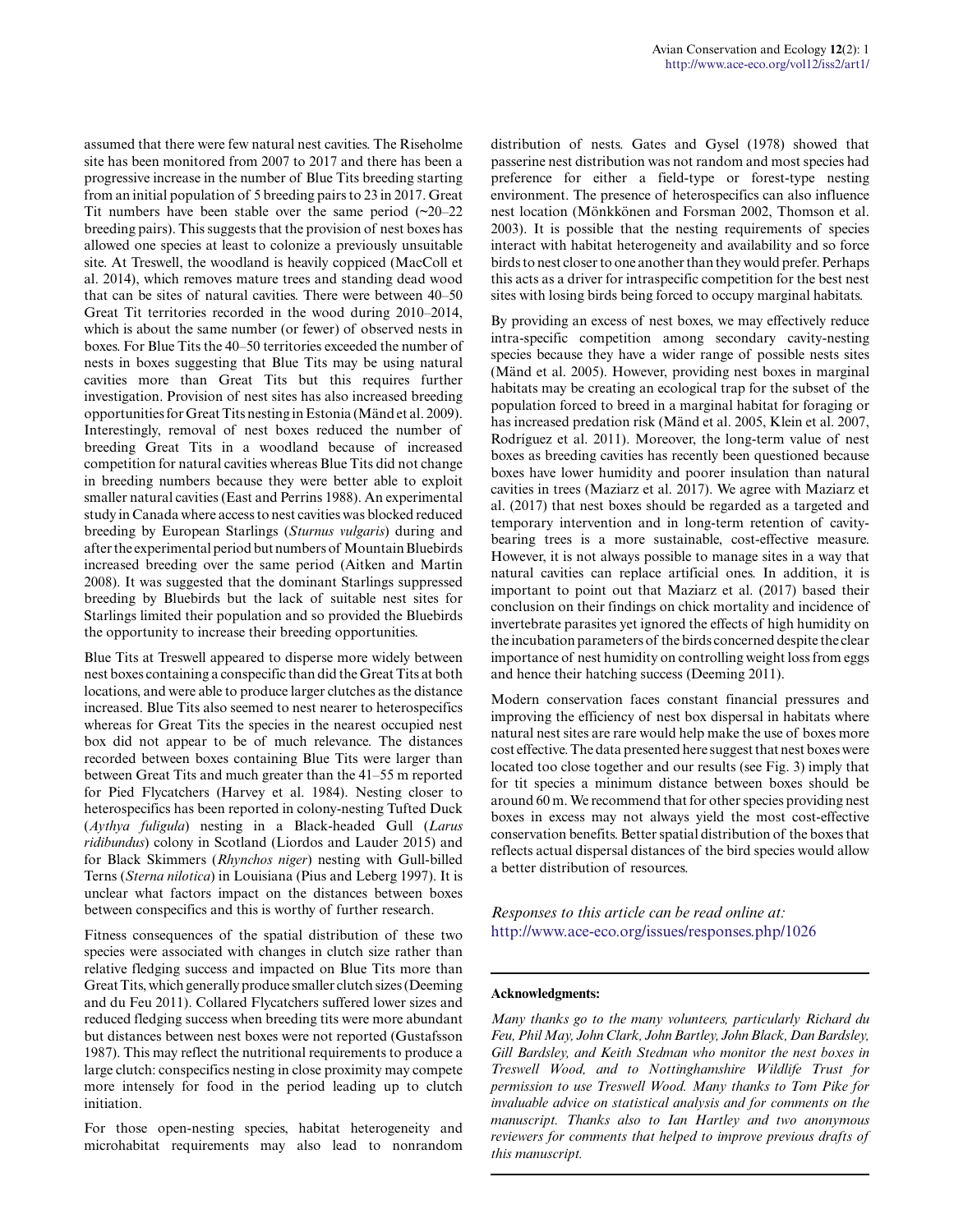assumed that there were few natural nest cavities. The Riseholme site has been monitored from 2007 to 2017 and there has been a progressive increase in the number of Blue Tits breeding starting from an initial population of 5 breeding pairs to 23 in 2017. Great Tit numbers have been stable over the same period  $(\sim 20-22)$ breeding pairs). This suggests that the provision of nest boxes has allowed one species at least to colonize a previously unsuitable site. At Treswell, the woodland is heavily coppiced (MacColl et al. 2014), which removes mature trees and standing dead wood that can be sites of natural cavities. There were between 40–50 Great Tit territories recorded in the wood during 2010–2014, which is about the same number (or fewer) of observed nests in boxes. For Blue Tits the 40–50 territories exceeded the number of nests in boxes suggesting that Blue Tits may be using natural cavities more than Great Tits but this requires further investigation. Provision of nest sites has also increased breeding opportunities for Great Tits nesting in Estonia (Mänd et al. 2009). Interestingly, removal of nest boxes reduced the number of breeding Great Tits in a woodland because of increased competition for natural cavities whereas Blue Tits did not change in breeding numbers because they were better able to exploit smaller natural cavities (East and Perrins 1988). An experimental study in Canada where access to nest cavities was blocked reduced breeding by European Starlings (*Sturnus vulgaris*) during and after the experimental period but numbers of Mountain Bluebirds increased breeding over the same period (Aitken and Martin 2008). It was suggested that the dominant Starlings suppressed breeding by Bluebirds but the lack of suitable nest sites for Starlings limited their population and so provided the Bluebirds the opportunity to increase their breeding opportunities.

Blue Tits at Treswell appeared to disperse more widely between nest boxes containing a conspecific than did the Great Tits at both locations, and were able to produce larger clutches as the distance increased. Blue Tits also seemed to nest nearer to heterospecifics whereas for Great Tits the species in the nearest occupied nest box did not appear to be of much relevance. The distances recorded between boxes containing Blue Tits were larger than between Great Tits and much greater than the 41–55 m reported for Pied Flycatchers (Harvey et al. 1984). Nesting closer to heterospecifics has been reported in colony-nesting Tufted Duck (*Aythya fuligula*) nesting in a Black-headed Gull (*Larus ridibundus*) colony in Scotland (Liordos and Lauder 2015) and for Black Skimmers (*Rhynchos niger*) nesting with Gull-billed Terns (*Sterna nilotica*) in Louisiana (Pius and Leberg 1997). It is unclear what factors impact on the distances between boxes between conspecifics and this is worthy of further research.

Fitness consequences of the spatial distribution of these two species were associated with changes in clutch size rather than relative fledging success and impacted on Blue Tits more than Great Tits, which generally produce smaller clutch sizes (Deeming and du Feu 2011). Collared Flycatchers suffered lower sizes and reduced fledging success when breeding tits were more abundant but distances between nest boxes were not reported (Gustafsson 1987). This may reflect the nutritional requirements to produce a large clutch: conspecifics nesting in close proximity may compete more intensely for food in the period leading up to clutch initiation.

For those open-nesting species, habitat heterogeneity and microhabitat requirements may also lead to nonrandom

distribution of nests. Gates and Gysel (1978) showed that passerine nest distribution was not random and most species had preference for either a field-type or forest-type nesting environment. The presence of heterospecifics can also influence nest location (Mönkkönen and Forsman 2002, Thomson et al. 2003). It is possible that the nesting requirements of species interact with habitat heterogeneity and availability and so force birds to nest closer to one another than they would prefer. Perhaps this acts as a driver for intraspecific competition for the best nest sites with losing birds being forced to occupy marginal habitats.

By providing an excess of nest boxes, we may effectively reduce intra-specific competition among secondary cavity-nesting species because they have a wider range of possible nests sites (Mänd et al. 2005). However, providing nest boxes in marginal habitats may be creating an ecological trap for the subset of the population forced to breed in a marginal habitat for foraging or has increased predation risk (Mänd et al. 2005, Klein et al. 2007, Rodríguez et al. 2011). Moreover, the long-term value of nest boxes as breeding cavities has recently been questioned because boxes have lower humidity and poorer insulation than natural cavities in trees (Maziarz et al. 2017). We agree with Maziarz et al. (2017) that nest boxes should be regarded as a targeted and temporary intervention and in long-term retention of cavitybearing trees is a more sustainable, cost-effective measure. However, it is not always possible to manage sites in a way that natural cavities can replace artificial ones. In addition, it is important to point out that Maziarz et al. (2017) based their conclusion on their findings on chick mortality and incidence of invertebrate parasites yet ignored the effects of high humidity on the incubation parameters of the birds concerned despite the clear importance of nest humidity on controlling weight loss from eggs and hence their hatching success (Deeming 2011).

Modern conservation faces constant financial pressures and improving the efficiency of nest box dispersal in habitats where natural nest sites are rare would help make the use of boxes more cost effective. The data presented here suggest that nest boxes were located too close together and our results (see Fig. 3) imply that for tit species a minimum distance between boxes should be around 60 m. We recommend that for other species providing nest boxes in excess may not always yield the most cost-effective conservation benefits. Better spatial distribution of the boxes that reflects actual dispersal distances of the bird species would allow a better distribution of resources.

*Responses to this article can be read online at:* <http://www.ace-eco.org/issues/responses.php/1026>

#### **Acknowledgments:**

*Many thanks go to the many volunteers, particularly Richard du Feu, Phil May, John Clark, John Bartley, John Black, Dan Bardsley, Gill Bardsley, and Keith Stedman who monitor the nest boxes in Treswell Wood, and to Nottinghamshire Wildlife Trust for permission to use Treswell Wood. Many thanks to Tom Pike for invaluable advice on statistical analysis and for comments on the manuscript. Thanks also to Ian Hartley and two anonymous reviewers for comments that helped to improve previous drafts of this manuscript.*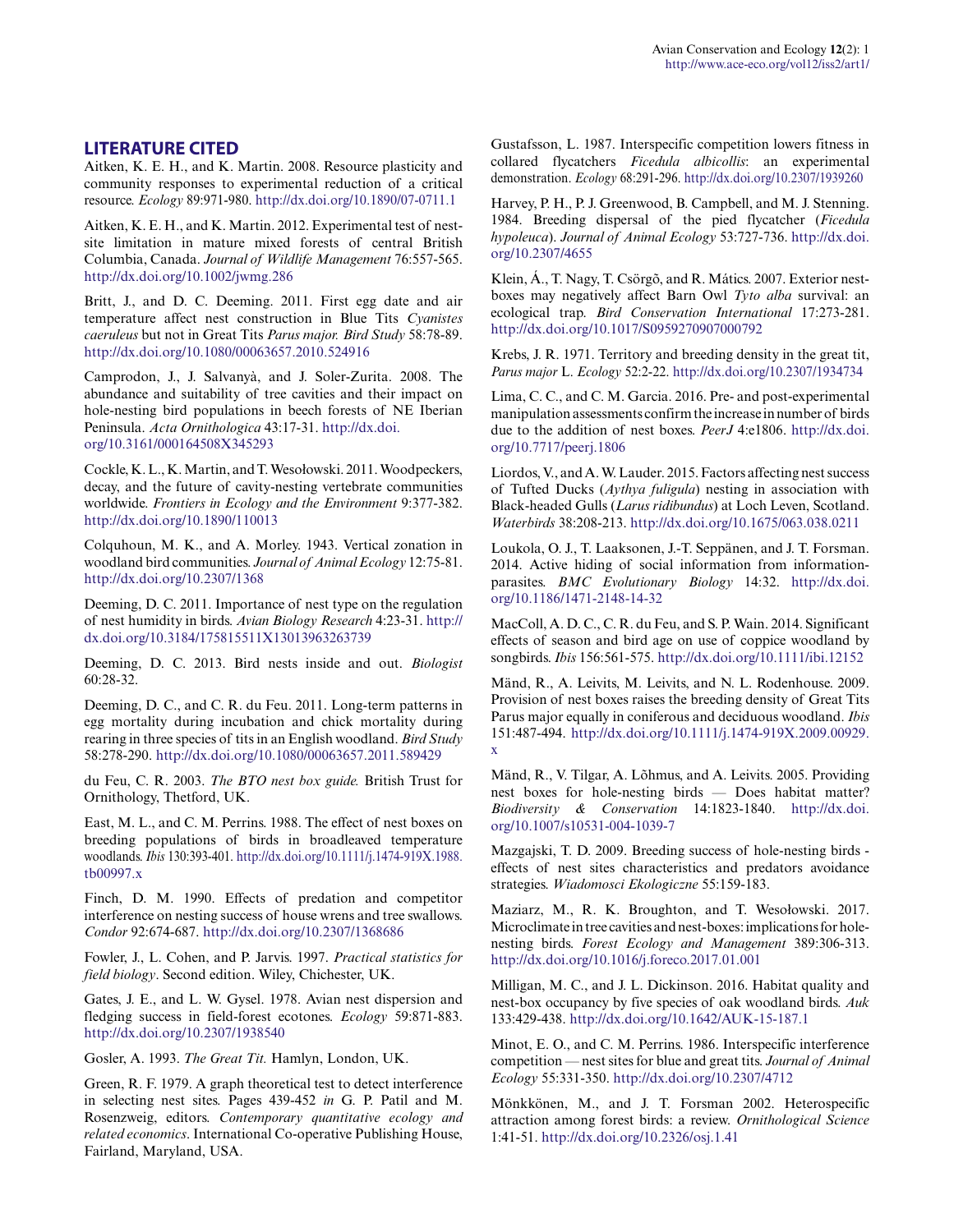#### **LITERATURE CITED**

Aitken, K. E. H., and K. Martin. 2008. Resource plasticity and community responses to experimental reduction of a critical resource. *Ecology* 89:971-980. [http://dx.doi.org/10.1890/07-0711.1](http://dx.doi.org/10.1890%2F07-0711.1) 

Aitken, K. E. H., and K. Martin. 2012. Experimental test of nestsite limitation in mature mixed forests of central British Columbia, Canada. *Journal of Wildlife Management* 76:557-565. [http://dx.doi.org/10.1002/jwmg.286](http://dx.doi.org/10.1002%2Fjwmg.286)

Britt, J., and D. C. Deeming. 2011. First egg date and air temperature affect nest construction in Blue Tits *Cyanistes caeruleus* but not in Great Tits *Parus major. Bird Study* 58:78-89. [http://dx.doi.org/10.1080/00063657.2010.524916](http://dx.doi.org/10.1080%2F00063657.2010.524916)

Camprodon, J., J. Salvanyà, and J. Soler-Zurita. 2008. The abundance and suitability of tree cavities and their impact on hole-nesting bird populations in beech forests of NE Iberian Peninsula. *Acta Ornithologica* 43:17-31. [http://dx.doi.](http://dx.doi.org/10.3161%2F000164508X345293) [org/10.3161/000164508X345293](http://dx.doi.org/10.3161%2F000164508X345293) 

Cockle, K. L., K. Martin, and T. Wesołowski. 2011. Woodpeckers, decay, and the future of cavity-nesting vertebrate communities worldwide. *Frontiers in Ecology and the Environment* 9:377-382. [http://dx.doi.org/10.1890/110013](http://dx.doi.org/10.1890%2F110013)

Colquhoun, M. K., and A. Morley. 1943. Vertical zonation in woodland bird communities. *Journal of Animal Ecology* 12:75-81. [http://dx.doi.org/10.2307/1368](http://dx.doi.org/10.2307%2F1368)

Deeming, D. C. 2011. Importance of nest type on the regulation of nest humidity in birds. *Avian Biology Research* 4:23-31. [http://](http://dx.doi.org/10.3184%2F175815511X13013963263739) [dx.doi.org/10.3184/175815511X13013963263739](http://dx.doi.org/10.3184%2F175815511X13013963263739)

Deeming, D. C. 2013. Bird nests inside and out. *Biologist* 60:28-32.

Deeming, D. C., and C. R. du Feu. 2011. Long-term patterns in egg mortality during incubation and chick mortality during rearing in three species of tits in an English woodland. *Bird Study* 58:278-290. [http://dx.doi.org/10.1080/00063657.2011.589429](http://dx.doi.org/10.1080%2F00063657.2011.589429)

du Feu, C. R. 2003. *The BTO nest box guide.* British Trust for Ornithology, Thetford, UK.

East, M. L., and C. M. Perrins. 1988. The effect of nest boxes on breeding populations of birds in broadleaved temperature woodlands. *Ibis* 130:393-401. [http://dx.doi.org/10.1111/j.1474-919X.1988.](http://dx.doi.org/10.1111%2Fj.1474-919X.1988.tb00997.x) [tb00997.x](http://dx.doi.org/10.1111%2Fj.1474-919X.1988.tb00997.x)

Finch, D. M. 1990. Effects of predation and competitor interference on nesting success of house wrens and tree swallows. *Condor* 92:674-687. [http://dx.doi.org/10.2307/1368686](http://dx.doi.org/10.2307%2F1368686)

Fowler, J., L. Cohen, and P. Jarvis. 1997. *Practical statistics for field biology*. Second edition. Wiley, Chichester, UK.

Gates, J. E., and L. W. Gysel. 1978. Avian nest dispersion and fledging success in field-forest ecotones. *Ecology* 59:871-883. [http://dx.doi.org/10.2307/1938540](http://dx.doi.org/10.2307%2F1938540) 

Gosler, A. 1993. *The Great Tit.* Hamlyn, London, UK.

Green, R. F. 1979. A graph theoretical test to detect interference in selecting nest sites. Pages 439-452 *in* G. P. Patil and M. Rosenzweig, editors. *Contemporary quantitative ecology and related economics*. International Co-operative Publishing House, Fairland, Maryland, USA.

Gustafsson, L. 1987. Interspecific competition lowers fitness in collared flycatchers *Ficedula albicollis*: an experimental demonstration. *Ecology* 68:291-296. [http://dx.doi.org/10.2307/1939260](http://dx.doi.org/10.2307%2F1939260) 

Harvey, P. H., P. J. Greenwood, B. Campbell, and M. J. Stenning. 1984. Breeding dispersal of the pied flycatcher (*Ficedula hypoleuca*). *Journal of Animal Ecology* 53:727-736. [http://dx.doi.](http://dx.doi.org/10.2307%2F4655) [org/10.2307/4655](http://dx.doi.org/10.2307%2F4655)

Klein, Á., T. Nagy, T. Csörgõ, and R. Mátics. 2007. Exterior nestboxes may negatively affect Barn Owl *Tyto alba* survival: an ecological trap. *Bird Conservation International* 17:273-281. [http://dx.doi.org/10.1017/S0959270907000792](http://dx.doi.org/10.1017%2FS0959270907000792)

Krebs, J. R. 1971. Territory and breeding density in the great tit, *Parus major* L. *Ecology* 52:2-22. [http://dx.doi.org/10.2307/1934734](http://dx.doi.org/10.2307%2F1934734) 

Lima, C. C., and C. M. Garcia. 2016. Pre- and post-experimental manipulation assessments confirm the increase in number of birds due to the addition of nest boxes. *PeerJ* 4:e1806. [http://dx.doi.](http://dx.doi.org/10.7717%2Fpeerj.1806) [org/10.7717/peerj.1806](http://dx.doi.org/10.7717%2Fpeerj.1806)

Liordos, V., and A. W. Lauder. 2015. Factors affecting nest success of Tufted Ducks (*Aythya fuligula*) nesting in association with Black-headed Gulls (*Larus ridibundus*) at Loch Leven, Scotland. *Waterbirds* 38:208-213. [http://dx.doi.org/10.1675/063.038.0211](http://dx.doi.org/10.1675%2F063.038.0211) 

Loukola, O. J., T. Laaksonen, J.-T. Seppänen, and J. T. Forsman. 2014. Active hiding of social information from informationparasites. *BMC Evolutionary Biology* 14:32. [http://dx.doi.](http://dx.doi.org/10.1186%2F1471-2148-14-32) [org/10.1186/1471-2148-14-32](http://dx.doi.org/10.1186%2F1471-2148-14-32)

MacColl, A. D. C., C. R. du Feu, and S. P. Wain. 2014. Significant effects of season and bird age on use of coppice woodland by songbirds. *Ibis* 156:561-575. [http://dx.doi.org/10.1111/ibi.12152](http://dx.doi.org/10.1111%2Fibi.12152)

Mänd, R., A. Leivits, M. Leivits, and N. L. Rodenhouse. 2009. Provision of nest boxes raises the breeding density of Great Tits Parus major equally in coniferous and deciduous woodland. *Ibis* 151:487-494. [http://dx.doi.org/10.1111/j.1474-919X.2009.00929.](http://dx.doi.org/10.1111%2Fj.1474-919X.2009.00929.x) [x](http://dx.doi.org/10.1111%2Fj.1474-919X.2009.00929.x) 

Mänd, R., V. Tilgar, A. Lõhmus, and A. Leivits. 2005. Providing nest boxes for hole-nesting birds — Does habitat matter? *Biodiversity & Conservation* 14:1823-1840. [http://dx.doi.](http://dx.doi.org/10.1007%2Fs10531-004-1039-7) [org/10.1007/s10531-004-1039-7](http://dx.doi.org/10.1007%2Fs10531-004-1039-7)

Mazgajski, T. D. 2009. Breeding success of hole-nesting birds effects of nest sites characteristics and predators avoidance strategies. *Wiadomosci Ekologiczne* 55:159-183.

Maziarz, M., R. K. Broughton, and T. Wesołowski. 2017. Microclimate in tree cavities and nest-boxes: implications for holenesting birds. *Forest Ecology and Management* 389:306-313. [http://dx.doi.org/10.1016/j.foreco.2017.01.001](http://dx.doi.org/10.1016%2Fj.foreco.2017.01.001)

Milligan, M. C., and J. L. Dickinson. 2016. Habitat quality and nest-box occupancy by five species of oak woodland birds. *Auk* 133:429-438. [http://dx.doi.org/10.1642/AUK-15-187.1](http://dx.doi.org/10.1642%2FAUK-15-187.1)

Minot, E. O., and C. M. Perrins. 1986. Interspecific interference competition — nest sites for blue and great tits. *Journal of Animal Ecology* 55:331-350. [http://dx.doi.org/10.2307/4712](http://dx.doi.org/10.2307%2F4712) 

Mönkkönen, M., and J. T. Forsman 2002. Heterospecific attraction among forest birds: a review. *Ornithological Science* 1:41-51. <http://dx.doi.org/10.2326/osj.1.41>